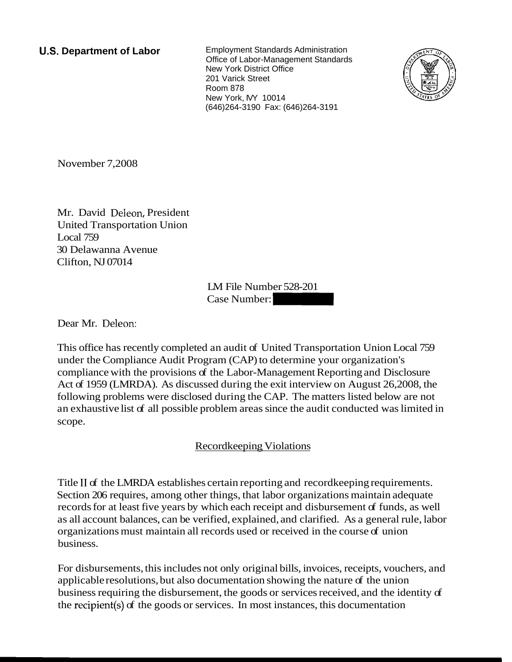**U.S. Department of Labor** Employment Standards Administration Office of Labor-Management Standards New York District Office 201 Varick Street Room 878 New York, IVY 10014 (646)264-3190 Fax: (646)264-3191



November 7,2008

Mr. David Deleon, President United Transportation Union Local 759 30 Delawanna Avenue Clifton, NJ 07014

LM File Number 528-201  $LM$  File Number 528-201<br>Case Number:  $\begin{bmatrix} 1 & 0 & 0 \\ 0 & 0 & 0 \\ 0 & 0 & 0 \\ 0 & 0 & 0 \\ 0 & 0 & 0 \\ 0 & 0 & 0 \\ 0 & 0 & 0 \\ 0 & 0 & 0 \\ 0 & 0 & 0 \\ 0 & 0 & 0 \\ 0 & 0 & 0 \\ 0 & 0 & 0 \\ 0 & 0 & 0 \\ 0 & 0 & 0 \\ 0 & 0 & 0 \\ 0 & 0 & 0 \\ 0 & 0 & 0 \\ 0 & 0 & 0 \\ 0 & 0 & 0 \\ 0 & 0 &$ 

Dear Mr. Deleon:

This office has recently completed an audit of United Transportation Union Local 759 under the Compliance Audit Program (CAP) to determine your organization's compliance with the provisions of the Labor-Management Reporting and Disclosure Act of 1959 (LMRDA). As discussed during the exit interview on August 26,2008, the following problems were disclosed during the CAP. The matters listed below are not an exhaustive list of all possible problem areas since the audit conducted was limited in scope.

## Recordkeeping Violations

Title I1 of the LMRDA establishes certain reporting and recordkeeping requirements. Section 206 requires, among other things, that labor organizations maintain adequate records for at least five years by which each receipt and disbursement of funds, as well as all account balances, can be verified, explained, and clarified. As a general rule, labor organizations must maintain all records used or received in the course of union business.

For disbursements, this includes not only original bills, invoices, receipts, vouchers, and applicable resolutions, but also documentation showing the nature of the union business requiring the disbursement, the goods or services received, and the identity of the recipient(s) of the goods or services. In most instances, this documentation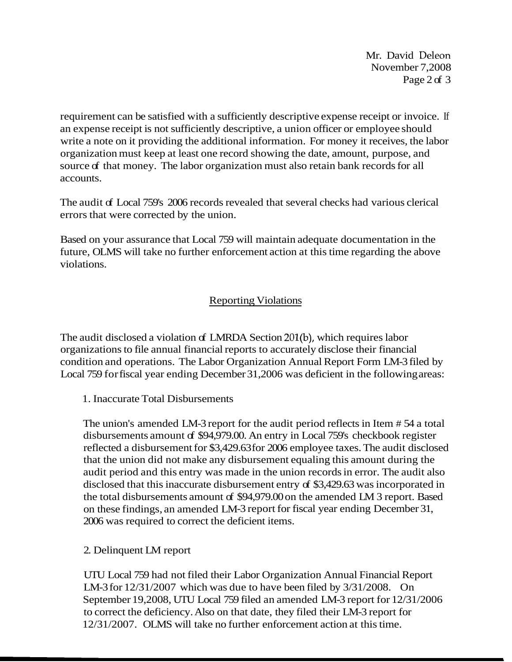Mr. David Deleon November 7,2008 Page 2 of 3

requirement can be satisfied with a sufficiently descriptive expense receipt or invoice. If an expense receipt is not sufficiently descriptive, a union officer or employee should write a note on it providing the additional information. For money it receives, the labor organization must keep at least one record showing the date, amount, purpose, and source of that money. The labor organization must also retain bank records for all accounts.

The audit of Local 759's 2006 records revealed that several checks had various clerical errors that were corrected by the union.

Based on your assurance that Local 759 will maintain adequate documentation in the future, OLMS will take no further enforcement action at this time regarding the above violations.

## Reporting Violations

The audit disclosed a violation of LMRDA Section 201(b), which requires labor organizations to file annual financial reports to accurately disclose their financial condition and operations. The Labor Organization Annual Report Form LM-3 filed by Local 759 for fiscal year ending December 31,2006 was deficient in the following areas:

1. Inaccurate Total Disbursements

The union's amended LM-3 report for the audit period reflects in Item # 54 a total disbursements amount of \$94,979.00. An entry in Local 759's checkbook register reflected a disbursement for \$3,429.63 for 2006 employee taxes. The audit disclosed that the union did not make any disbursement equaling this amount during the audit period and this entry was made in the union records in error. The audit also disclosed that this inaccurate disbursement entry of \$3,429.63 was incorporated in the total disbursements amount of \$94,979.00 on the amended LM 3 report. Based on these findings, an amended LM-3 report for fiscal year ending December 31, 2006 was required to correct the deficient items.

## 2. Delinquent LM report

UTU Local 759 had not filed their Labor Organization Annual Financial Report LM-3 for 12/31/2007 which was due to have been filed by 3/31/2008. On September 19,2008, UTU Local 759 filed an amended LM-3 report for 12/31/2006 to correct the deficiency. Also on that date, they filed their LM-3 report for 12/31/2007. OLMS will take no further enforcement action at this time.